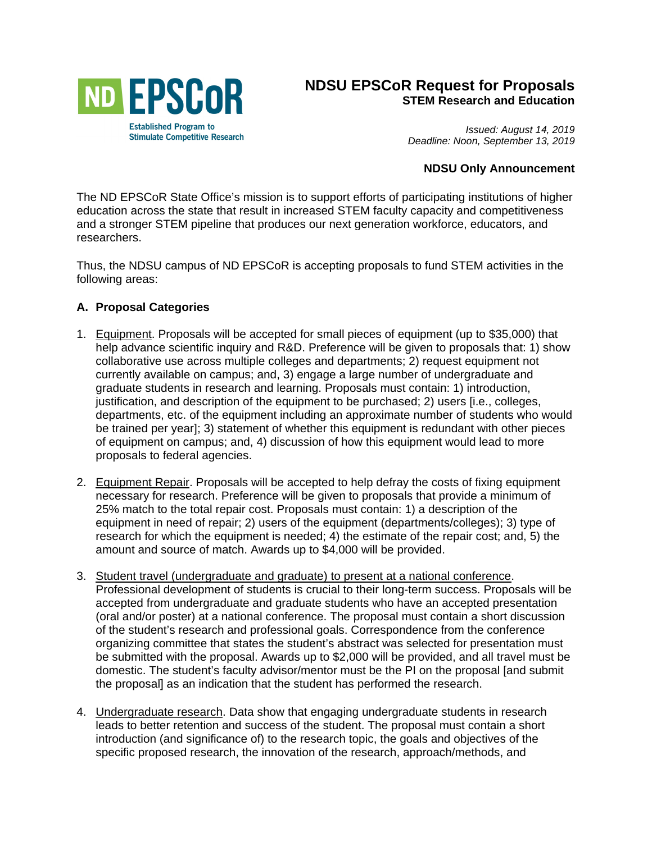

## **NDSU EPSCoR Request for Proposals STEM Research and Education**

*Issued: August 14, 2019 Deadline: Noon, September 13, 2019*

### **NDSU Only Announcement**

The ND EPSCoR State Office's mission is to support efforts of participating institutions of higher education across the state that result in increased STEM faculty capacity and competitiveness and a stronger STEM pipeline that produces our next generation workforce, educators, and researchers.

Thus, the NDSU campus of ND EPSCoR is accepting proposals to fund STEM activities in the following areas:

### **A. Proposal Categories**

- 1. Equipment. Proposals will be accepted for small pieces of equipment (up to \$35,000) that help advance scientific inquiry and R&D. Preference will be given to proposals that: 1) show collaborative use across multiple colleges and departments; 2) request equipment not currently available on campus; and, 3) engage a large number of undergraduate and graduate students in research and learning. Proposals must contain: 1) introduction, justification, and description of the equipment to be purchased; 2) users [i.e., colleges, departments, etc. of the equipment including an approximate number of students who would be trained per year]; 3) statement of whether this equipment is redundant with other pieces of equipment on campus; and, 4) discussion of how this equipment would lead to more proposals to federal agencies.
- 2. Equipment Repair. Proposals will be accepted to help defray the costs of fixing equipment necessary for research. Preference will be given to proposals that provide a minimum of 25% match to the total repair cost. Proposals must contain: 1) a description of the equipment in need of repair; 2) users of the equipment (departments/colleges); 3) type of research for which the equipment is needed; 4) the estimate of the repair cost; and, 5) the amount and source of match. Awards up to \$4,000 will be provided.
- 3. Student travel (undergraduate and graduate) to present at a national conference. Professional development of students is crucial to their long-term success. Proposals will be accepted from undergraduate and graduate students who have an accepted presentation (oral and/or poster) at a national conference. The proposal must contain a short discussion of the student's research and professional goals. Correspondence from the conference organizing committee that states the student's abstract was selected for presentation must be submitted with the proposal. Awards up to \$2,000 will be provided, and all travel must be domestic. The student's faculty advisor/mentor must be the PI on the proposal [and submit the proposal] as an indication that the student has performed the research.
- 4. Undergraduate research. Data show that engaging undergraduate students in research leads to better retention and success of the student. The proposal must contain a short introduction (and significance of) to the research topic, the goals and objectives of the specific proposed research, the innovation of the research, approach/methods, and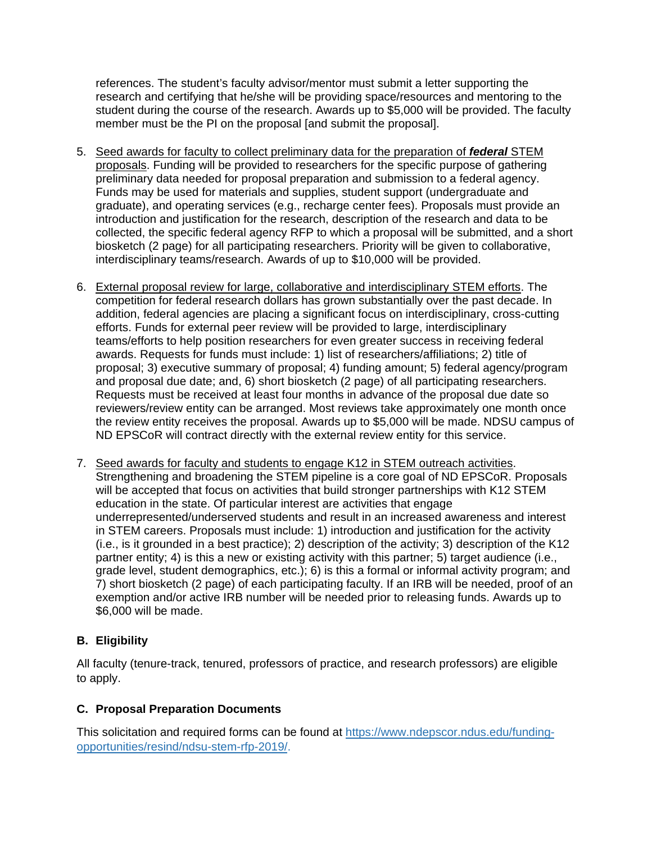references. The student's faculty advisor/mentor must submit a letter supporting the research and certifying that he/she will be providing space/resources and mentoring to the student during the course of the research. Awards up to \$5,000 will be provided. The faculty member must be the PI on the proposal [and submit the proposal].

- 5. Seed awards for faculty to collect preliminary data for the preparation of *federal* STEM proposals. Funding will be provided to researchers for the specific purpose of gathering preliminary data needed for proposal preparation and submission to a federal agency. Funds may be used for materials and supplies, student support (undergraduate and graduate), and operating services (e.g., recharge center fees). Proposals must provide an introduction and justification for the research, description of the research and data to be collected, the specific federal agency RFP to which a proposal will be submitted, and a short biosketch (2 page) for all participating researchers. Priority will be given to collaborative, interdisciplinary teams/research. Awards of up to \$10,000 will be provided.
- 6. External proposal review for large, collaborative and interdisciplinary STEM efforts. The competition for federal research dollars has grown substantially over the past decade. In addition, federal agencies are placing a significant focus on interdisciplinary, cross-cutting efforts. Funds for external peer review will be provided to large, interdisciplinary teams/efforts to help position researchers for even greater success in receiving federal awards. Requests for funds must include: 1) list of researchers/affiliations; 2) title of proposal; 3) executive summary of proposal; 4) funding amount; 5) federal agency/program and proposal due date; and, 6) short biosketch (2 page) of all participating researchers. Requests must be received at least four months in advance of the proposal due date so reviewers/review entity can be arranged. Most reviews take approximately one month once the review entity receives the proposal. Awards up to \$5,000 will be made. NDSU campus of ND EPSCoR will contract directly with the external review entity for this service.
- 7. Seed awards for faculty and students to engage K12 in STEM outreach activities. Strengthening and broadening the STEM pipeline is a core goal of ND EPSCoR. Proposals will be accepted that focus on activities that build stronger partnerships with K12 STEM education in the state. Of particular interest are activities that engage underrepresented/underserved students and result in an increased awareness and interest in STEM careers. Proposals must include: 1) introduction and justification for the activity (i.e., is it grounded in a best practice); 2) description of the activity; 3) description of the K12 partner entity; 4) is this a new or existing activity with this partner; 5) target audience (i.e., grade level, student demographics, etc.); 6) is this a formal or informal activity program; and 7) short biosketch (2 page) of each participating faculty. If an IRB will be needed, proof of an exemption and/or active IRB number will be needed prior to releasing funds. Awards up to \$6,000 will be made.

# **B. Eligibility**

All faculty (tenure-track, tenured, professors of practice, and research professors) are eligible to apply.

## **C. Proposal Preparation Documents**

This solicitation and required forms can be found at [https://www.ndepscor.ndus.edu/funding](https://www.ndepscor.ndus.edu/funding-opportunities/resind/ndsu-stem-rfp-2019/)[opportunities/resind/ndsu-stem-rfp-2019/.](https://www.ndepscor.ndus.edu/funding-opportunities/resind/ndsu-stem-rfp-2019/)